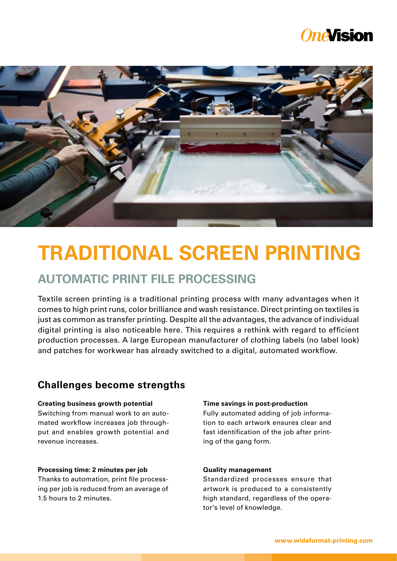## *OneVision*



# **TRADITIONAL SCREEN PRINTING**

## **AUTOMATIC PRINT FILE PROCESSING**

Textile screen printing is a traditional printing process with many advantages when it comes to high print runs, color brilliance and wash resistance. Direct printing on textiles is just as common as transfer printing. Despite all the advantages, the advance of individual digital printing is also noticeable here. This requires a rethink with regard to efficient production processes. A large European manufacturer of clothing labels (no label look) and patches for workwear has already switched to a digital, automated workflow.

## **Challenges become strengths**

#### **Creating business growth potential**

Switching from manual work to an automated workflow increases job throughput and enables growth potential and revenue increases.

#### **Processing time: 2 minutes per job**

Thanks to automation, print file processing per job is reduced from an average of 1.5 hours to 2 minutes.

#### **Time savings in post-production**

Fully automated adding of job information to each artwork ensures clear and fast identification of the job after printing of the gang form.

#### **Quality management**

Standardized processes ensure that artwork is produced to a consistently high standard, regardless of the operator's level of knowledge.